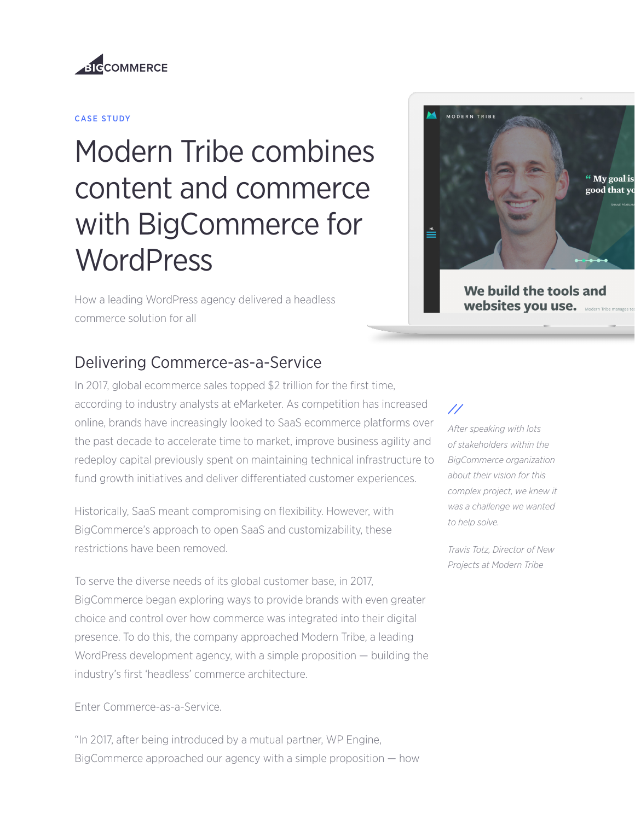

#### CASE STUDY

# Modern Tribe combines content and commerce with BigCommerce for **WordPress**

How a leading WordPress agency delivered a headless commerce solution for all



We build the tools and websites you use.

#### Delivering Commerce-as-a-Service

In 2017, global ecommerce sales topped \$2 trillion for the first time, according to industry analysts at eMarketer. As competition has increased online, brands have increasingly looked to SaaS ecommerce platforms over the past decade to accelerate time to market, improve business agility and redeploy capital previously spent on maintaining technical infrastructure to fund growth initiatives and deliver differentiated customer experiences.

Historically, SaaS meant compromising on flexibility. However, with BigCommerce's approach to open SaaS and customizability, these restrictions have been removed.

To serve the diverse needs of its global customer base, in 2017, BigCommerce began exploring ways to provide brands with even greater choice and control over how commerce was integrated into their digital presence. To do this, the company approached Modern Tribe, a leading WordPress development agency, with a simple proposition — building the industry's first 'headless' commerce architecture.

#### Enter Commerce-as-a-Service.

"In 2017, after being introduced by a mutual partner, WP Engine, BigCommerce approached our agency with a simple proposition — how

#### $\prime\prime$

*After speaking with lots of stakeholders within the BigCommerce organization about their vision for this complex project, we knew it was a challenge we wanted to help solve.*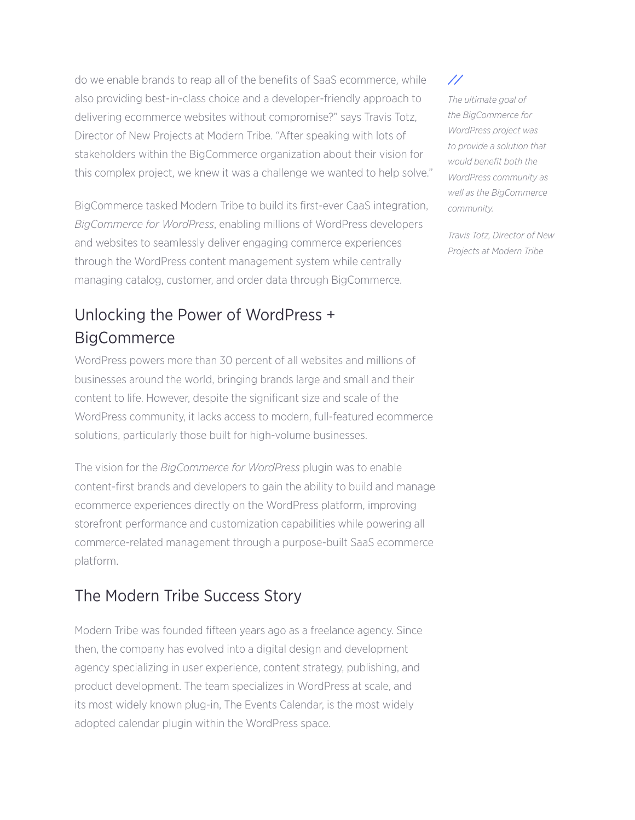do we enable brands to reap all of the benefits of SaaS ecommerce, while also providing best-in-class choice and a developer-friendly approach to delivering ecommerce websites without compromise?" says Travis Totz, Director of New Projects at Modern Tribe. "After speaking with lots of stakeholders within the BigCommerce organization about their vision for this complex project, we knew it was a challenge we wanted to help solve."

BigCommerce tasked Modern Tribe to build its first-ever CaaS integration, *BigCommerce for WordPress*, enabling millions of WordPress developers and websites to seamlessly deliver engaging commerce experiences through the WordPress content management system while centrally managing catalog, customer, and order data through BigCommerce.

# Unlocking the Power of WordPress + **BigCommerce**

WordPress powers more than 30 percent of all websites and millions of businesses around the world, bringing brands large and small and their content to life. However, despite the significant size and scale of the WordPress community, it lacks access to modern, full-featured ecommerce solutions, particularly those built for high-volume businesses.

The vision for the *BigCommerce for WordPress* plugin was to enable content-first brands and developers to gain the ability to build and manage ecommerce experiences directly on the WordPress platform, improving storefront performance and customization capabilities while powering all commerce-related management through a purpose-built SaaS ecommerce platform.

# The Modern Tribe Success Story

Modern Tribe was founded fifteen years ago as a freelance agency. Since then, the company has evolved into a digital design and development agency specializing in user experience, content strategy, publishing, and product development. The team specializes in WordPress at scale, and its most widely known plug-in, The Events Calendar, is the most widely adopted calendar plugin within the WordPress space.

 $^{\prime\prime}$ 

*The ultimate goal of the BigCommerce for WordPress project was to provide a solution that would benefit both the WordPress community as well as the BigCommerce community.*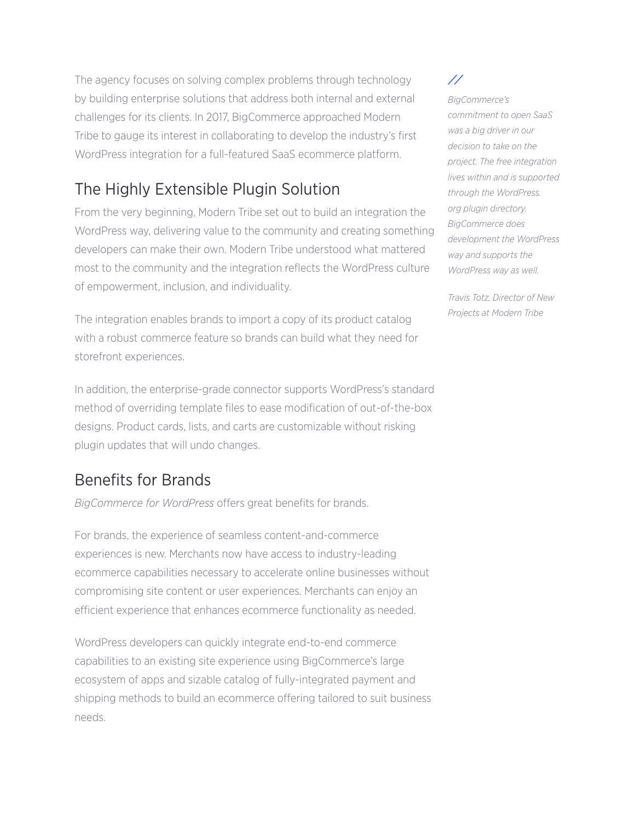The agency focuses on solving complex problems through technology by building enterprise solutions that address both internal and external challenges for its clients. In 2017, BigCommerce approached Modern Tribe to gauge its interest in collaborating to develop the industry's first WordPress integration for a full-featured SaaS ecommerce platform.

# The Highly Extensible Plugin Solution

From the very beginning, Modern Tribe set out to build an integration the WordPress way, delivering value to the community and creating something developers can make their own. Modern Tribe understood what mattered most to the community and the integration reflects the WordPress culture of empowerment, inclusion, and individuality.

The integration enables brands to import a copy of its product catalog with a robust commerce feature so brands can build what they need for storefront experiences.

In addition, the enterprise-grade connector supports WordPress's standard method of overriding template files to ease modification of out-of-the-box designs. Product cards, lists, and carts are customizable without risking plugin updates that will undo changes.

### Benefits for Brands

*BigCommerce for WordPress* offers great benefits for brands.

For brands, the experience of seamless content-and-commerce experiences is new. Merchants now have access to industry-leading ecommerce capabilities necessary to accelerate online businesses without compromising site content or user experiences. Merchants can enjoy an efficient experience that enhances ecommerce functionality as needed.

WordPress developers can quickly integrate end-to-end commerce capabilities to an existing site experience using BigCommerce's large ecosystem of apps and sizable catalog of fully-integrated payment and shipping methods to build an ecommerce offering tailored to suit business needs.

 $^{\prime\prime}$ 

*BigCommerce's commitment to open SaaS was a big driver in our decision to take on the project. The free integration lives within and is supported through the WordPress. org plugin directory. BigCommerce does development the WordPress way and supports the WordPress way as well.*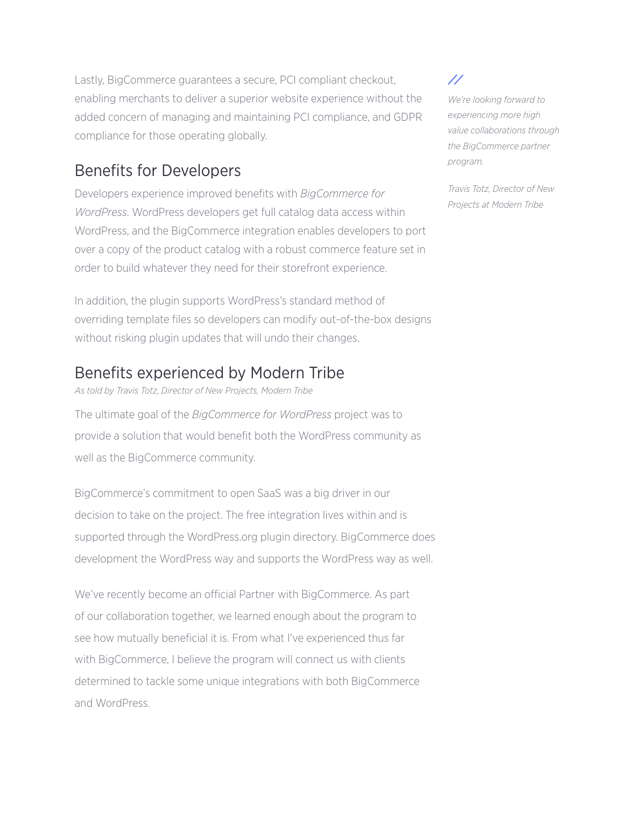Lastly, BigCommerce guarantees a secure, PCI compliant checkout, enabling merchants to deliver a superior website experience without the added concern of managing and maintaining PCI compliance, and GDPR compliance for those operating globally.

# Benefits for Developers

Developers experience improved benefits with *BigCommerce for WordPress*. WordPress developers get full catalog data access within WordPress, and the BigCommerce integration enables developers to port over a copy of the product catalog with a robust commerce feature set in order to build whatever they need for their storefront experience.

In addition, the plugin supports WordPress's standard method of overriding template files so developers can modify out-of-the-box designs without risking plugin updates that will undo their changes.

#### Benefits experienced by Modern Tribe

*As told by Travis Totz, Director of New Projects, Modern Tribe*

The ultimate goal of the *BigCommerce for WordPress* project was to provide a solution that would benefit both the WordPress community as well as the BigCommerce community.

BigCommerce's commitment to open SaaS was a big driver in our decision to take on the project. The free integration lives within and is supported through the WordPress.org plugin directory. BigCommerce does development the WordPress way and supports the WordPress way as well.

We've recently become an official Partner with BigCommerce. As part of our collaboration together, we learned enough about the program to see how mutually beneficial it is. From what I've experienced thus far with BigCommerce, I believe the program will connect us with clients determined to tackle some unique integrations with both BigCommerce and WordPress.

#### 77

*We're looking forward to experiencing more high value collaborations through the BigCommerce partner program.*